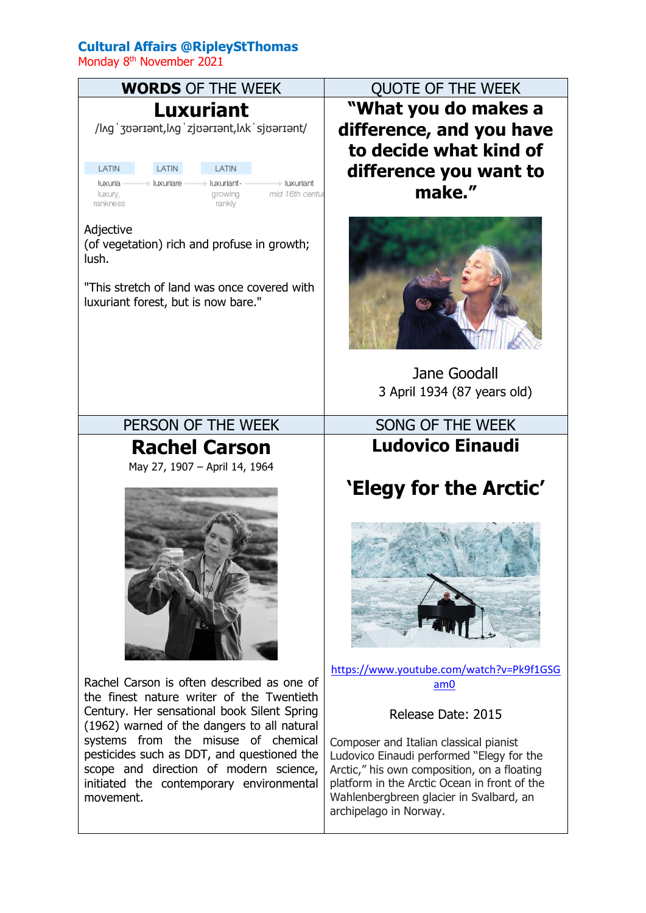## **Cultural Affairs @RipleyStThomas**

Monday 8<sup>th</sup> November 2021